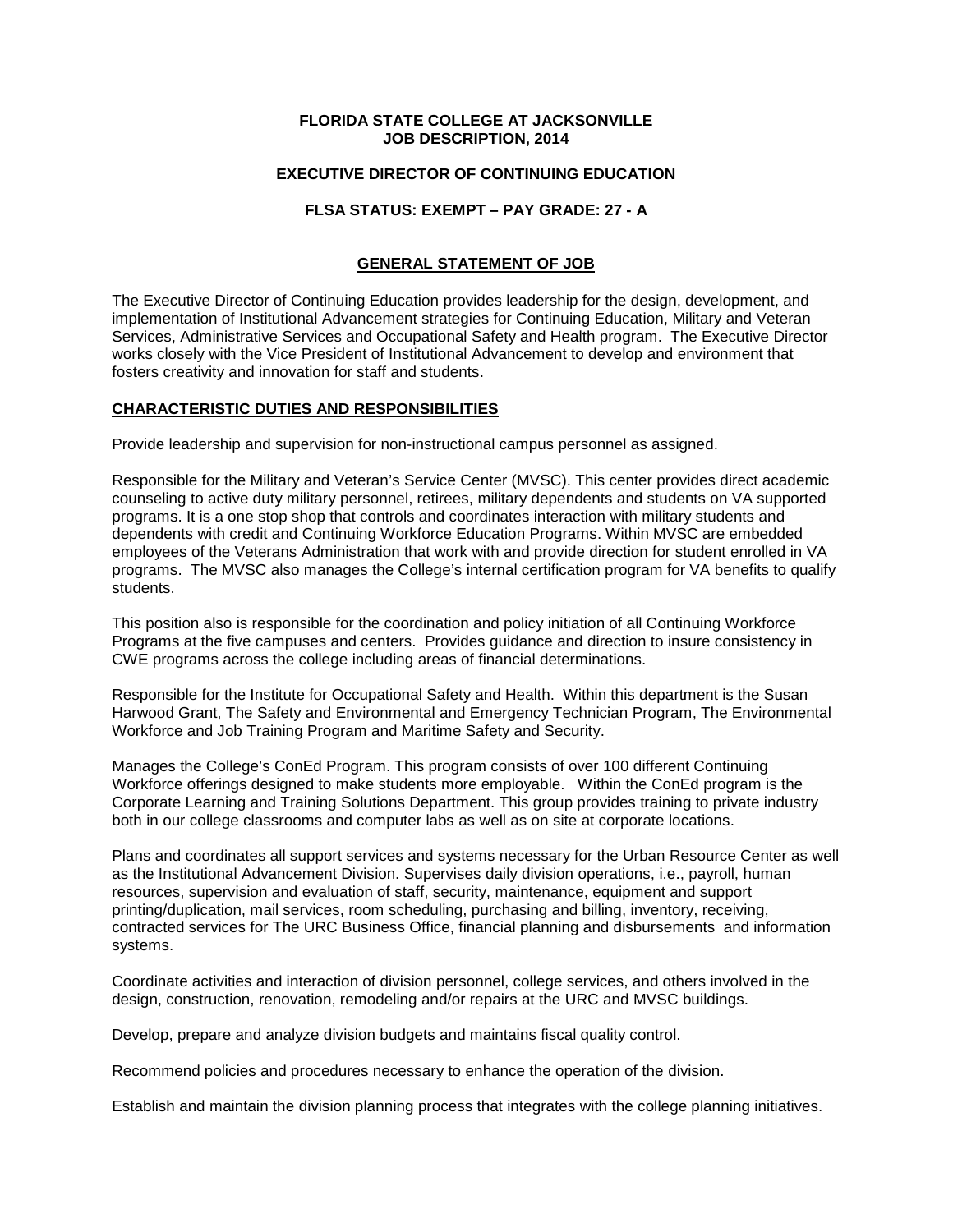## **FLORIDA STATE COLLEGE AT JACKSONVILLE JOB DESCRIPTION, 2014**

# **EXECUTIVE DIRECTOR OF CONTINUING EDUCATION**

# **FLSA STATUS: EXEMPT – PAY GRADE: 27 - A**

### **GENERAL STATEMENT OF JOB**

The Executive Director of Continuing Education provides leadership for the design, development, and implementation of Institutional Advancement strategies for Continuing Education, Military and Veteran Services, Administrative Services and Occupational Safety and Health program. The Executive Director works closely with the Vice President of Institutional Advancement to develop and environment that fosters creativity and innovation for staff and students.

### **CHARACTERISTIC DUTIES AND RESPONSIBILITIES**

Provide leadership and supervision for non-instructional campus personnel as assigned.

Responsible for the Military and Veteran's Service Center (MVSC). This center provides direct academic counseling to active duty military personnel, retirees, military dependents and students on VA supported programs. It is a one stop shop that controls and coordinates interaction with military students and dependents with credit and Continuing Workforce Education Programs. Within MVSC are embedded employees of the Veterans Administration that work with and provide direction for student enrolled in VA programs. The MVSC also manages the College's internal certification program for VA benefits to qualify students.

This position also is responsible for the coordination and policy initiation of all Continuing Workforce Programs at the five campuses and centers. Provides guidance and direction to insure consistency in CWE programs across the college including areas of financial determinations.

Responsible for the Institute for Occupational Safety and Health. Within this department is the Susan Harwood Grant, The Safety and Environmental and Emergency Technician Program, The Environmental Workforce and Job Training Program and Maritime Safety and Security.

Manages the College's ConEd Program. This program consists of over 100 different Continuing Workforce offerings designed to make students more employable. Within the ConEd program is the Corporate Learning and Training Solutions Department. This group provides training to private industry both in our college classrooms and computer labs as well as on site at corporate locations.

Plans and coordinates all support services and systems necessary for the Urban Resource Center as well as the Institutional Advancement Division. Supervises daily division operations, i.e., payroll, human resources, supervision and evaluation of staff, security, maintenance, equipment and support printing/duplication, mail services, room scheduling, purchasing and billing, inventory, receiving, contracted services for The URC Business Office, financial planning and disbursements and information systems.

Coordinate activities and interaction of division personnel, college services, and others involved in the design, construction, renovation, remodeling and/or repairs at the URC and MVSC buildings.

Develop, prepare and analyze division budgets and maintains fiscal quality control.

Recommend policies and procedures necessary to enhance the operation of the division.

Establish and maintain the division planning process that integrates with the college planning initiatives.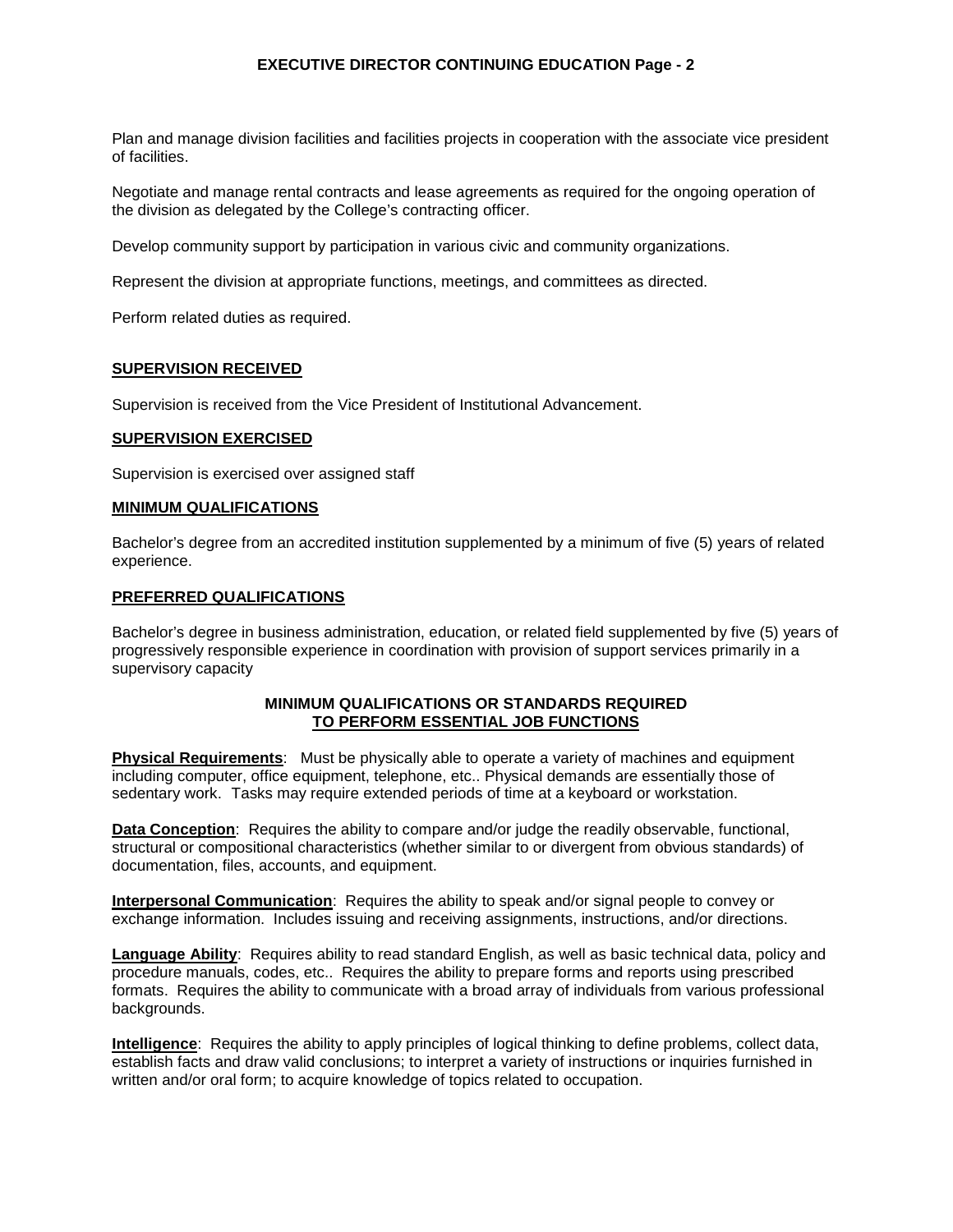## **EXECUTIVE DIRECTOR CONTINUING EDUCATION Page - 2**

Plan and manage division facilities and facilities projects in cooperation with the associate vice president of facilities.

Negotiate and manage rental contracts and lease agreements as required for the ongoing operation of the division as delegated by the College's contracting officer.

Develop community support by participation in various civic and community organizations.

Represent the division at appropriate functions, meetings, and committees as directed.

Perform related duties as required.

### **SUPERVISION RECEIVED**

Supervision is received from the Vice President of Institutional Advancement.

#### **SUPERVISION EXERCISED**

Supervision is exercised over assigned staff

### **MINIMUM QUALIFICATIONS**

Bachelor's degree from an accredited institution supplemented by a minimum of five (5) years of related experience.

### **PREFERRED QUALIFICATIONS**

Bachelor's degree in business administration, education, or related field supplemented by five (5) years of progressively responsible experience in coordination with provision of support services primarily in a supervisory capacity

### **MINIMUM QUALIFICATIONS OR STANDARDS REQUIRED TO PERFORM ESSENTIAL JOB FUNCTIONS**

**Physical Requirements**: Must be physically able to operate a variety of machines and equipment including computer, office equipment, telephone, etc.. Physical demands are essentially those of sedentary work. Tasks may require extended periods of time at a keyboard or workstation.

**Data Conception**: Requires the ability to compare and/or judge the readily observable, functional, structural or compositional characteristics (whether similar to or divergent from obvious standards) of documentation, files, accounts, and equipment.

**Interpersonal Communication**: Requires the ability to speak and/or signal people to convey or exchange information. Includes issuing and receiving assignments, instructions, and/or directions.

**Language Ability**: Requires ability to read standard English, as well as basic technical data, policy and procedure manuals, codes, etc.. Requires the ability to prepare forms and reports using prescribed formats. Requires the ability to communicate with a broad array of individuals from various professional backgrounds.

**Intelligence**: Requires the ability to apply principles of logical thinking to define problems, collect data, establish facts and draw valid conclusions; to interpret a variety of instructions or inquiries furnished in written and/or oral form; to acquire knowledge of topics related to occupation.